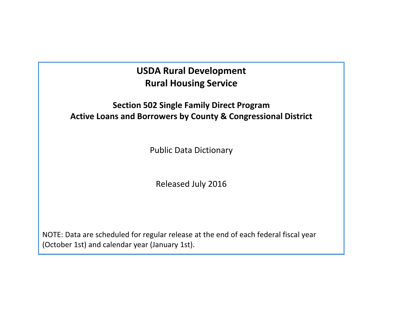# **USDA Rural Development Rural Housing Service**

## **Section 502 Single Family Direct Program Active Loans and Borrowers by County & Congressional District**

Public Data Dictionary

Released July 2016

NOTE: Data are scheduled for regular release at the end of each federal fiscal year (October 1st) and calendar year (January 1st).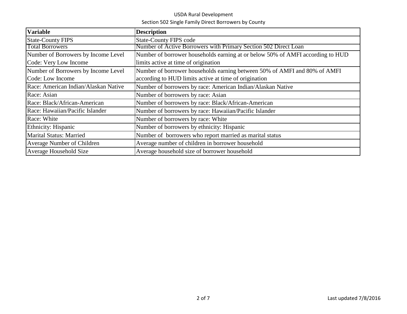### USDA Rural Development Section 502 Single Family Direct Borrowers by County

| <b>Variable</b>                      | <b>Description</b>                                                             |
|--------------------------------------|--------------------------------------------------------------------------------|
| <b>State-County FIPS</b>             | <b>State-County FIPS code</b>                                                  |
| <b>Total Borrowers</b>               | Number of Active Borrowers with Primary Section 502 Direct Loan                |
| Number of Borrowers by Income Level  | Number of borrower households earning at or below 50% of AMFI according to HUD |
| Code: Very Low Income                | limits active at time of origination                                           |
| Number of Borrowers by Income Level  | Number of borrower households earning between 50% of AMFI and 80% of AMFI      |
| Code: Low Income                     | according to HUD limits active at time of origination                          |
| Race: American Indian/Alaskan Native | Number of borrowers by race: American Indian/Alaskan Native                    |
| Race: Asian                          | Number of borrowers by race: Asian                                             |
| Race: Black/African-American         | Number of borrowers by race: Black/African-American                            |
| Race: Hawaiian/Pacific Islander      | Number of borrowers by race: Hawaiian/Pacific Islander                         |
| Race: White                          | Number of borrowers by race: White                                             |
| Ethnicity: Hispanic                  | Number of borrowers by ethnicity: Hispanic                                     |
| <b>Marital Status: Married</b>       | Number of borrowers who report married as marital status                       |
| Average Number of Children           | Average number of children in borrower household                               |
| Average Household Size               | Average household size of borrower household                                   |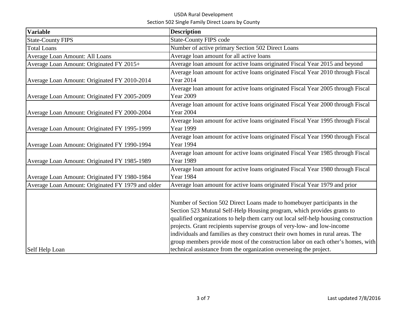### USDA Rural Development Section 502 Single Family Direct Loans by County

| <b>Variable</b>                                   | <b>Description</b>                                                                                                                                                                                                                                                                                                                                                                                                                                                                          |
|---------------------------------------------------|---------------------------------------------------------------------------------------------------------------------------------------------------------------------------------------------------------------------------------------------------------------------------------------------------------------------------------------------------------------------------------------------------------------------------------------------------------------------------------------------|
| <b>State-County FIPS</b>                          | <b>State-County FIPS code</b>                                                                                                                                                                                                                                                                                                                                                                                                                                                               |
| <b>Total Loans</b>                                | Number of active primary Section 502 Direct Loans                                                                                                                                                                                                                                                                                                                                                                                                                                           |
| Average Loan Amount: All Loans                    | Average loan amount for all active loans                                                                                                                                                                                                                                                                                                                                                                                                                                                    |
| Average Loan Amount: Originated FY 2015+          | Average loan amount for active loans originated Fiscal Year 2015 and beyond                                                                                                                                                                                                                                                                                                                                                                                                                 |
|                                                   | Average loan amount for active loans originated Fiscal Year 2010 through Fiscal                                                                                                                                                                                                                                                                                                                                                                                                             |
| Average Loan Amount: Originated FY 2010-2014      | <b>Year 2014</b>                                                                                                                                                                                                                                                                                                                                                                                                                                                                            |
| Average Loan Amount: Originated FY 2005-2009      | Average loan amount for active loans originated Fiscal Year 2005 through Fiscal<br><b>Year 2009</b>                                                                                                                                                                                                                                                                                                                                                                                         |
| Average Loan Amount: Originated FY 2000-2004      | Average loan amount for active loans originated Fiscal Year 2000 through Fiscal<br><b>Year 2004</b>                                                                                                                                                                                                                                                                                                                                                                                         |
| Average Loan Amount: Originated FY 1995-1999      | Average loan amount for active loans originated Fiscal Year 1995 through Fiscal<br><b>Year 1999</b>                                                                                                                                                                                                                                                                                                                                                                                         |
| Average Loan Amount: Originated FY 1990-1994      | Average loan amount for active loans originated Fiscal Year 1990 through Fiscal<br>Year 1994                                                                                                                                                                                                                                                                                                                                                                                                |
| Average Loan Amount: Originated FY 1985-1989      | Average loan amount for active loans originated Fiscal Year 1985 through Fiscal<br><b>Year 1989</b>                                                                                                                                                                                                                                                                                                                                                                                         |
| Average Loan Amount: Originated FY 1980-1984      | Average loan amount for active loans originated Fiscal Year 1980 through Fiscal<br><b>Year 1984</b>                                                                                                                                                                                                                                                                                                                                                                                         |
| Average Loan Amount: Originated FY 1979 and older | Average loan amount for active loans originated Fiscal Year 1979 and prior                                                                                                                                                                                                                                                                                                                                                                                                                  |
|                                                   | Number of Section 502 Direct Loans made to homebuyer participants in the<br>Section 523 Mututal Self-Help Housing program, which provides grants to<br>qualified organizations to help them carry out local self-help housing construction<br>projects. Grant recipients supervise groups of very-low- and low-income<br>individuals and families as they construct their own homes in rural areas. The<br>group members provide most of the construction labor on each other's homes, with |
| Self Help Loan                                    | technical assistance from the organization overseeing the project.                                                                                                                                                                                                                                                                                                                                                                                                                          |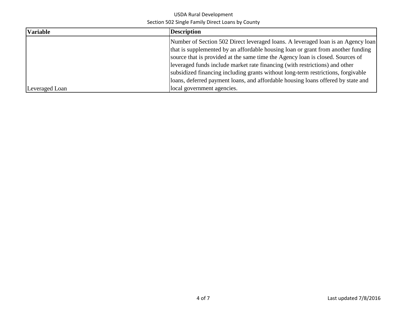### USDA Rural Development Section 502 Single Family Direct Loans by County

| <b>Variable</b> | <b>Description</b>                                                               |
|-----------------|----------------------------------------------------------------------------------|
|                 | Number of Section 502 Direct leveraged loans. A leveraged loan is an Agency loan |
|                 | that is supplemented by an affordable housing loan or grant from another funding |
|                 | source that is provided at the same time the Agency loan is closed. Sources of   |
|                 | leveraged funds include market rate financing (with restrictions) and other      |
|                 | subsidized financing including grants without long-term restrictions, forgivable |
|                 | loans, deferred payment loans, and affordable housing loans offered by state and |
| Leveraged Loan  | local government agencies.                                                       |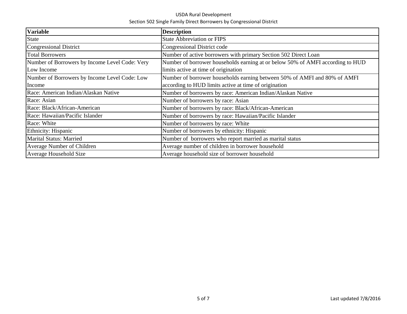#### USDA Rural Development Section 502 Single Family Direct Borrowers by Congressional District

| <b>Variable</b>                                | <b>Description</b>                                                             |
|------------------------------------------------|--------------------------------------------------------------------------------|
| <b>State</b>                                   | <b>State Abbreviation or FIPS</b>                                              |
| Congressional District                         | Congressional District code                                                    |
| <b>Total Borrowers</b>                         | Number of active borrowers with primary Section 502 Direct Loan                |
| Number of Borrowers by Income Level Code: Very | Number of borrower households earning at or below 50% of AMFI according to HUD |
| Low Income                                     | limits active at time of origination                                           |
| Number of Borrowers by Income Level Code: Low  | Number of borrower households earning between 50% of AMFI and 80% of AMFI      |
| Income                                         | according to HUD limits active at time of origination                          |
| Race: American Indian/Alaskan Native           | Number of borrowers by race: American Indian/Alaskan Native                    |
| Race: Asian                                    | Number of borrowers by race: Asian                                             |
| Race: Black/African-American                   | Number of borrowers by race: Black/African-American                            |
| Race: Hawaiian/Pacific Islander                | Number of borrowers by race: Hawaiian/Pacific Islander                         |
| Race: White                                    | Number of borrowers by race: White                                             |
| Ethnicity: Hispanic                            | Number of borrowers by ethnicity: Hispanic                                     |
| <b>Marital Status: Married</b>                 | Number of borrowers who report married as marital status                       |
| Average Number of Children                     | Average number of children in borrower household                               |
| Average Household Size                         | Average household size of borrower household                                   |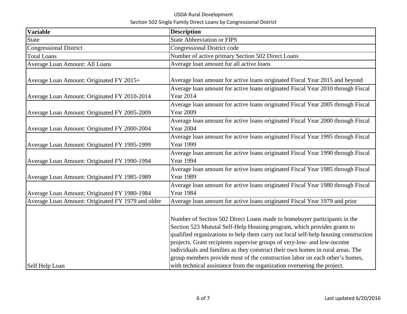### USDA Rural Development Section 502 Single Family Direct Loans by Congressional District

| <b>Variable</b>                                   | <b>Description</b>                                                                                                                                                                                                                                                                                                                                                                                                                                                                                                                                                |
|---------------------------------------------------|-------------------------------------------------------------------------------------------------------------------------------------------------------------------------------------------------------------------------------------------------------------------------------------------------------------------------------------------------------------------------------------------------------------------------------------------------------------------------------------------------------------------------------------------------------------------|
| <b>State</b>                                      | <b>State Abbreviation or FIPS</b>                                                                                                                                                                                                                                                                                                                                                                                                                                                                                                                                 |
| <b>Congressional District</b>                     | <b>Congressional District code</b>                                                                                                                                                                                                                                                                                                                                                                                                                                                                                                                                |
| <b>Total Loans</b>                                | Number of active primary Section 502 Direct Loans                                                                                                                                                                                                                                                                                                                                                                                                                                                                                                                 |
| Average Loan Amount: All Loans                    | Average loan amount for all active loans                                                                                                                                                                                                                                                                                                                                                                                                                                                                                                                          |
| Average Loan Amount: Originated FY 2015+          | Average loan amount for active loans originated Fiscal Year 2015 and beyond                                                                                                                                                                                                                                                                                                                                                                                                                                                                                       |
| Average Loan Amount: Originated FY 2010-2014      | Average loan amount for active loans originated Fiscal Year 2010 through Fiscal<br><b>Year 2014</b>                                                                                                                                                                                                                                                                                                                                                                                                                                                               |
| Average Loan Amount: Originated FY 2005-2009      | Average loan amount for active loans originated Fiscal Year 2005 through Fiscal<br><b>Year 2009</b>                                                                                                                                                                                                                                                                                                                                                                                                                                                               |
| Average Loan Amount: Originated FY 2000-2004      | Average loan amount for active loans originated Fiscal Year 2000 through Fiscal<br><b>Year 2004</b>                                                                                                                                                                                                                                                                                                                                                                                                                                                               |
| Average Loan Amount: Originated FY 1995-1999      | Average loan amount for active loans originated Fiscal Year 1995 through Fiscal<br><b>Year 1999</b>                                                                                                                                                                                                                                                                                                                                                                                                                                                               |
| Average Loan Amount: Originated FY 1990-1994      | Average loan amount for active loans originated Fiscal Year 1990 through Fiscal<br><b>Year 1994</b>                                                                                                                                                                                                                                                                                                                                                                                                                                                               |
| Average Loan Amount: Originated FY 1985-1989      | Average loan amount for active loans originated Fiscal Year 1985 through Fiscal<br><b>Year 1989</b>                                                                                                                                                                                                                                                                                                                                                                                                                                                               |
| Average Loan Amount: Originated FY 1980-1984      | Average loan amount for active loans originated Fiscal Year 1980 through Fiscal<br><b>Year 1984</b>                                                                                                                                                                                                                                                                                                                                                                                                                                                               |
| Average Loan Amount: Originated FY 1979 and older | Average loan amount for active loans originated Fiscal Year 1979 and prior                                                                                                                                                                                                                                                                                                                                                                                                                                                                                        |
| Self Help Loan                                    | Number of Section 502 Direct Loans made to homebuyer participants in the<br>Section 523 Mututal Self-Help Housing program, which provides grants to<br>qualified organizations to help them carry out local self-help housing construction<br>projects. Grant recipients supervise groups of very-low- and low-income<br>individuals and families as they construct their own homes in rural areas. The<br>group members provide most of the construction labor on each other's homes,<br>with technical assistance from the organization overseeing the project. |